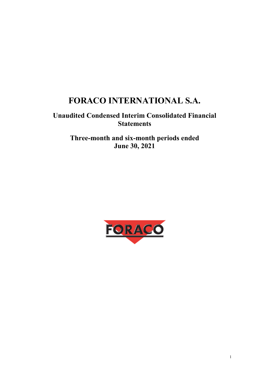# **FORACO INTERNATIONAL S.A.**

## **Unaudited Condensed Interim Consolidated Financial Statements**

**Three-month and six-month periods ended June 30, 2021** 

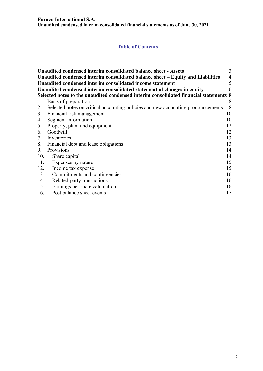## **Table of Contents**

|     | Unaudited condensed interim consolidated balance sheet - Assets                       | 3              |
|-----|---------------------------------------------------------------------------------------|----------------|
|     | Unaudited condensed interim consolidated balance sheet - Equity and Liabilities       | $\overline{4}$ |
|     | Unaudited condensed interim consolidated income statement                             | 5              |
|     | Unaudited condensed interim consolidated statement of changes in equity               | 6              |
|     | Selected notes to the unaudited condensed interim consolidated financial statements 8 |                |
| 1.  | Basis of preparation                                                                  | 8              |
|     | 2. Selected notes on critical accounting policies and new accounting pronouncements   | 8              |
|     | 3. Financial risk management                                                          | 10             |
| 4.  | Segment information                                                                   | 10             |
|     | 5. Property, plant and equipment                                                      | 12             |
|     | 6. Goodwill                                                                           | 12             |
|     | 7. Inventories                                                                        | 13             |
|     | 8. Financial debt and lease obligations                                               | 13             |
| 9.  | Provisions                                                                            | 14             |
| 10. | Share capital                                                                         | 14             |
| 11. | Expenses by nature                                                                    | 15             |
| 12. | Income tax expense                                                                    | 15             |
| 13. | Commitments and contingencies                                                         | 16             |
| 14. | Related-party transactions                                                            | 16             |
| 15. | Earnings per share calculation                                                        | 16             |
| 16. | Post balance sheet events                                                             | 17             |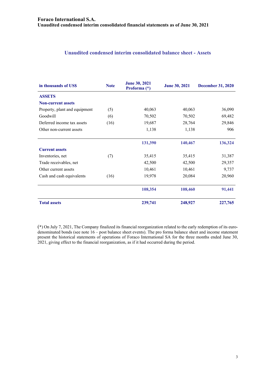#### **Unaudited condensed interim consolidated balance sheet - Assets**

| in thousands of USS           | <b>Note</b> | <b>June 30, 2021</b><br>Proforma (*) | <b>June 30, 2021</b> | <b>December 31, 2020</b> |
|-------------------------------|-------------|--------------------------------------|----------------------|--------------------------|
| <b>ASSETS</b>                 |             |                                      |                      |                          |
| <b>Non-current assets</b>     |             |                                      |                      |                          |
| Property, plant and equipment | (5)         | 40,063                               | 40,063               | 36,090                   |
| Goodwill                      | (6)         | 70,502                               | 70,502               | 69,482                   |
| Deferred income tax assets    | (16)        | 19,687                               | 28,764               | 29,846                   |
| Other non-current assets      |             | 1,138                                | 1,138                | 906                      |
|                               |             | 131,390                              | 140,467              | 136,324                  |
| <b>Current assets</b>         |             |                                      |                      |                          |
| Inventories, net              | (7)         | 35,415                               | 35,415               | 31,387                   |
| Trade receivables, net        |             | 42,500                               | 42,500               | 29,357                   |
| Other current assets          |             | 10,461                               | 10,461               | 9,737                    |
| Cash and cash equivalents     | (16)        | 19,978                               | 20,084               | 20,960                   |
|                               |             | 108,354                              | 108,460              | 91,441                   |
| <b>Total assets</b>           |             | 239,741                              | 248,927              | 227,765                  |

(\*) On July 7, 2021, The Company finalized its financial reorganization related to the early redemption of its eurodenominated bonds (see note 16 – post balance sheet events). The pro forma balance sheet and income statement present the historical statements of operations of Foraco International SA for the three months ended June 30, 2021, giving effect to the financial reorganization, as if it had occurred during the period.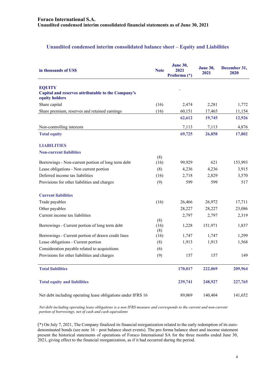#### **Unaudited condensed interim consolidated balance sheet – Equity and Liabilities**

| in thousands of US\$                                                                  | <b>Note</b>        | <b>June 30,</b><br>2021<br>Proforma (*) | <b>June 30,</b><br>2021 | December 31,<br>2020 |
|---------------------------------------------------------------------------------------|--------------------|-----------------------------------------|-------------------------|----------------------|
| <b>EQUITY</b><br>Capital and reserves attributable to the Company's<br>equity holders |                    |                                         |                         |                      |
| Share capital                                                                         | (16)               | 2,474                                   | 2,281                   | 1,772                |
| Share premium, reserves and retained earnings                                         | (16)               | 60,151                                  | 17,465                  | 11,154               |
|                                                                                       |                    | 62,612                                  | 19,745                  | 12,926               |
| Non-controlling interests                                                             |                    | 7,113                                   | 7,113                   | 4,876                |
| <b>Total equity</b>                                                                   |                    | 69,725                                  | 26,858                  | 17,802               |
| <b>LIABILITIES</b>                                                                    |                    |                                         |                         |                      |
| <b>Non-current liabilities</b>                                                        |                    |                                         |                         |                      |
|                                                                                       | (8)                |                                         |                         |                      |
| Borrowings - Non-current portion of long term debt                                    | (16)               | 99,929                                  | 621                     | 153,993              |
| Lease obligations - Non current portion                                               | (8)                | 4,236                                   | 4,236                   | 3,915                |
| Deferred income tax liabilities                                                       | (16)               | 2,718                                   | 2,829                   | 3,570                |
| Provisions for other liabilities and charges                                          | (9)                | 599                                     | 599                     | 517                  |
| <b>Current liabilities</b>                                                            |                    |                                         |                         |                      |
| Trade payables                                                                        | (16)               | 26,466                                  | 26,972                  | 17,711               |
| Other payables                                                                        |                    | 28,227                                  | 28,227                  | 23,086               |
| Current income tax liabilities                                                        |                    | 2,797                                   | 2,797                   | 2,319                |
| Borrowings - Current portion of long term debt                                        | (8)<br>(16)<br>(8) | 1,228                                   | 151,971                 | 1,837                |
| Borrowings - Current portion of drawn credit lines                                    | (16)               | 1,747                                   | 1,747                   | 1,299                |
| Lease obligations - Current portion                                                   | (8)                | 1,913                                   | 1,913                   | 1,568                |
| Consideration payable related to acquisitions                                         | (6)                |                                         |                         |                      |
| Provisions for other liabilities and charges                                          | (9)                | 157                                     | 157                     | 149                  |
| <b>Total liabilities</b>                                                              |                    | 170,017                                 | 222,069                 | 209,964              |
| <b>Total equity and liabilities</b>                                                   |                    | 239,741                                 | 248,927                 | 227,765              |
| Net debt including operating lease obligations under IFRS 16                          |                    | 89,069                                  | 140,404                 | 141,652              |

*Net debt including operating lease obligations is a non IFRS measure and corresponds to the current and non-current portion of borrowings, net of cash and cash equivalents* 

(\*) On July 7, 2021, The Company finalized its financial reorganization related to the early redemption of its eurodenominated bonds (see note 16 – post balance sheet events). The pro forma balance sheet and income statement present the historical statements of operations of Foraco International SA for the three months ended June 30, 2021, giving effect to the financial reorganization, as if it had occurred during the period.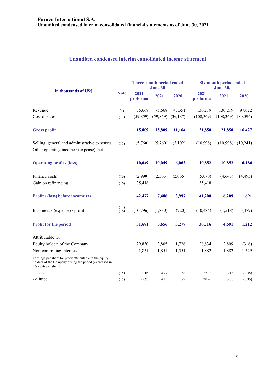#### **Unaudited condensed interim consolidated income statement**

| In thousands of US\$                                                                                                                       |              | Three-month period ended<br>June 30 |           |          | <b>Six-month period ended</b><br><b>June 30,</b> |            |           |
|--------------------------------------------------------------------------------------------------------------------------------------------|--------------|-------------------------------------|-----------|----------|--------------------------------------------------|------------|-----------|
|                                                                                                                                            |              | 2021<br>proforma                    | 2021      | 2020     | 2021<br>proforma                                 | 2021       | 2020      |
| Revenue                                                                                                                                    | (4)          | 75,668                              | 75,668    | 47,351   | 130,219                                          | 130,219    | 97,022    |
| Cost of sales                                                                                                                              | (11)         | (59, 859)                           | (59, 859) | (36,187) | (108, 369)                                       | (108, 369) | (80, 594) |
| <b>Gross profit</b>                                                                                                                        |              | 15,809                              | 15,809    | 11,164   | 21,850                                           | 21,850     | 16,427    |
| Selling, general and administrative expenses<br>Other operating income / (expense), net                                                    | (11)         | (5,760)                             | (5,760)   | (5,102)  | (10,998)                                         | (10,998)   | (10,241)  |
| <b>Operating profit / (loss)</b>                                                                                                           |              | 10,049                              | 10,049    | 6,062    | 10,852                                           | 10,852     | 6,186     |
| Finance costs                                                                                                                              | (16)         | (2,990)                             | (2,563)   | (2,065)  | (5,070)                                          | (4, 643)   | (4, 495)  |
| Gain on refinancing                                                                                                                        | (16)         | 35,418                              |           |          | 35,418                                           |            |           |
| Profit / (loss) before income tax                                                                                                          |              | 42,477                              | 7,486     | 3,997    | 41,200                                           | 6,209      | 1,691     |
| Income tax (expense) / profit                                                                                                              | (12)<br>(16) | (10,796)                            | (1,830)   | (720)    | (10, 484)                                        | (1,518)    | (479)     |
| <b>Profit for the period</b>                                                                                                               |              | 31,681                              | 5,656     | 3,277    | 30,716                                           | 4,691      | 1,212     |
| Attributable to:                                                                                                                           |              |                                     |           |          |                                                  |            |           |
| Equity holders of the Company                                                                                                              |              | 29,830                              | 3,805     | 1,726    | 28,834                                           | 2,809      | (316)     |
| Non-controlling interests                                                                                                                  |              | 1,851                               | 1,851     | 1,551    | 1,882                                            | 1,882      | 1,529     |
| Earnings per share for profit attributable to the equity<br>holders of the Company during the period (expressed in<br>US cents per share): |              |                                     |           |          |                                                  |            |           |
| - basic                                                                                                                                    | (15)         | 30.05                               | 4.27      | 1.88     | 29.05                                            | 3.15       | (0.35)    |
| - diluted                                                                                                                                  | (15)         | 29.93                               | 4.15      | 1.92     | 28.96                                            | 3.06       | (0.35)    |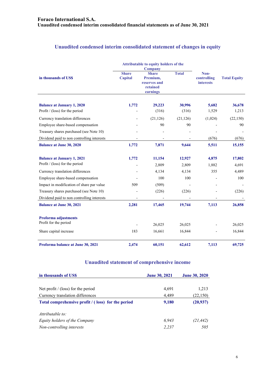## **Unaudited condensed interim consolidated statement of changes in equity**

|                                                                     |                         | Attributable to equity holders of the<br><b>Company</b>          |                 |                                         |                     |
|---------------------------------------------------------------------|-------------------------|------------------------------------------------------------------|-----------------|-----------------------------------------|---------------------|
| in thousands of US\$                                                | <b>Share</b><br>Capital | <b>Share</b><br>Premium,<br>reserves and<br>retained<br>earnings |                 | Non-<br>controlling<br><b>interests</b> | <b>Total Equity</b> |
|                                                                     | 1,772                   |                                                                  |                 | 5,682                                   |                     |
| <b>Balance at January 1, 2020</b><br>Profit / (loss) for the period |                         | 29,223<br>(316)                                                  | 30,996<br>(316) | 1,529                                   | 36,678<br>1,213     |
| Currency translation differences                                    |                         | (21, 126)                                                        | (21, 126)       | (1,024)                                 | (22, 150)           |
| Employee share-based compensation                                   |                         | 90                                                               | 90              |                                         | 90                  |
| Treasury shares purchased (see Note 10)                             |                         |                                                                  |                 |                                         |                     |
| Dividend paid to non controlling interests                          |                         |                                                                  |                 | (676)                                   | (676)               |
| <b>Balance at June 30, 2020</b>                                     | 1,772                   | 7,871                                                            | 9,644           | 5,511                                   | 15,155              |
|                                                                     |                         |                                                                  |                 |                                         |                     |
| <b>Balance at January 1, 2021</b>                                   | 1,772                   | 11,154                                                           | 12,927          | 4,875                                   | 17,802              |
| Profit / (loss) for the period                                      |                         | 2,809                                                            | 2,809           | 1,882                                   | 4,691               |
| Currency translation differences                                    |                         | 4,134                                                            | 4,134           | 355                                     | 4,489               |
| Employee share-based compensation                                   |                         | 100                                                              | 100             |                                         | 100                 |
| Impact in modification of share par value                           | 509                     | (509)                                                            |                 |                                         |                     |
| Treasury shares purchased (see Note 10)                             |                         | (226)                                                            | (226)           |                                         | (226)               |
| Dividend paid to non controlling interests                          |                         |                                                                  |                 |                                         |                     |
| <b>Balance at June 30, 2021</b>                                     | 2,281                   | 17,465                                                           | 19,744          | 7,113                                   | 26,858              |
| Proforma adjustments                                                |                         |                                                                  |                 |                                         |                     |
| Profit for the period                                               |                         | 26,025                                                           | 26,025          |                                         | 26,025              |
| Share capital increase                                              | 183                     | 16,661                                                           | 16,844          |                                         | 16,844              |
| Proforma balance at June 30, 2021                                   | 2,474                   | 60,151                                                           | 62,612          | 7,113                                   | 69,725              |

## **Unaudited statement of comprehensive income**

| in thousands of US\$                               | <b>June 30, 2021</b> | <b>June 30, 2020</b> |
|----------------------------------------------------|----------------------|----------------------|
|                                                    |                      |                      |
| Net profit $/$ (loss) for the period               | 4,691                | 1,213                |
| Currency translation differences                   | 4,489                | (22, 150)            |
| Total comprehensive profit / (loss) for the period | 9,180                | (20, 937)            |
| Attributable to:                                   |                      |                      |
| Equity holders of the Company                      | 6.943                | (21, 442)            |
| Non-controlling interests                          | 2,237                | 505                  |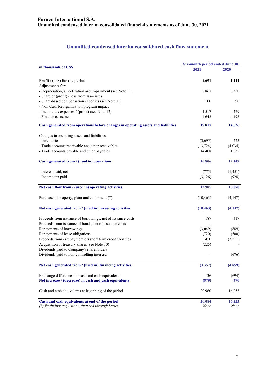## **Unaudited condensed interim consolidated cash flow statement**

|                                                                                   | Six-month period ended June 30, |          |  |  |
|-----------------------------------------------------------------------------------|---------------------------------|----------|--|--|
| in thousands of US\$                                                              | 2021                            | 2020     |  |  |
| Profit / (loss) for the period                                                    | 4,691                           | 1,212    |  |  |
| Adjustments for:                                                                  |                                 |          |  |  |
| - Depreciation, amortization and impairment (see Note 11)                         | 8,867                           | 8,350    |  |  |
| - Share of (profit) / loss from associates                                        |                                 |          |  |  |
| - Share-based compensation expenses (see Note 11)                                 | 100                             | 90       |  |  |
| - Non Cash Reorganization program impact                                          |                                 |          |  |  |
| - Income tax expenses / (profit) (see Note 12)                                    | 1,517                           | 479      |  |  |
| - Finance costs, net                                                              | 4,642                           | 4,495    |  |  |
| Cash generated from operations before changes in operating assets and liabilities | 19,817                          | 14,626   |  |  |
| Changes in operating assets and liabilities:                                      |                                 |          |  |  |
| - Inventories                                                                     | (3,695)                         | 225      |  |  |
| - Trade accounts receivable and other receivables                                 | (13, 724)                       | (4,034)  |  |  |
| - Trade accounts payable and other payables                                       | 14,408                          | 1,632    |  |  |
|                                                                                   |                                 |          |  |  |
| Cash generated from / (used in) operations                                        | 16,806                          | 12,449   |  |  |
| - Interest paid, net                                                              | (775)                           | (1, 451) |  |  |
| - Income tax paid                                                                 | (3,126)                         | (928)    |  |  |
|                                                                                   |                                 |          |  |  |
| Net cash flow from / (used in) operating activities                               | 12,905                          | 10,070   |  |  |
| Purchase of property, plant and equipment (*)                                     | (10, 463)                       | (4,147)  |  |  |
| Net cash generated from / (used in) investing activities                          | (10, 463)                       | (4,147)  |  |  |
| Proceeds from issuance of borrowings, net of issuance costs                       | 187                             | 417      |  |  |
| Proceeds from issuance of bonds, net of issuance costs                            |                                 |          |  |  |
| Repayments of borrowings                                                          | (3,049)                         | (889)    |  |  |
| Repayments of lease obligations                                                   | (720)                           | (500)    |  |  |
| Proceeds from / (repayment of) short term credit facilities                       | 450                             | (3,211)  |  |  |
| Acquisition of treasury shares (see Note 10)                                      | (225)                           |          |  |  |
| Dividends paid to Company's shareholders                                          |                                 |          |  |  |
| Dividends paid to non-controlling interests                                       |                                 | (676)    |  |  |
| Net cash generated from / (used in) financing activities                          | (3, 357)                        | (4,859)  |  |  |
| Exchange differences on cash and cash equivalents                                 | 36                              | (694)    |  |  |
| Net increase / (decrease) in cash and cash equivalents                            | (879)                           | 370      |  |  |
|                                                                                   |                                 |          |  |  |
| Cash and cash equivalents at beginning of the period                              | 20,960                          | 16,053   |  |  |
| Cash and cash equivalents at end of the period                                    | 20,084                          | 16,423   |  |  |
| (*) Excluding acquisition financed through leases                                 | None                            | None     |  |  |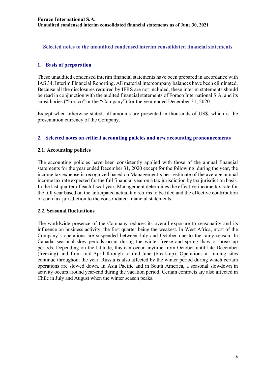#### **Selected notes to the unaudited condensed interim consolidated financial statements**

#### **1. Basis of preparation**

These unaudited condensed interim financial statements have been prepared in accordance with IAS 34, Interim Financial Reporting. All material intercompany balances have been eliminated. Because all the disclosures required by IFRS are not included, these interim statements should be read in conjunction with the audited financial statements of Foraco International S.A. and its subsidiaries ("Foraco" or the "Company") for the year ended December 31, 2020.

Except when otherwise stated, all amounts are presented in thousands of US\$, which is the presentation currency of the Company.

#### **2. Selected notes on critical accounting policies and new accounting pronouncements**

#### **2.1. Accounting policies**

The accounting policies have been consistently applied with those of the annual financial statements for the year ended December 31, 2020 except for the following: during the year, the income tax expense is recognized based on Management's best estimate of the average annual income tax rate expected for the full financial year on a tax jurisdiction by tax jurisdiction basis. In the last quarter of each fiscal year, Management determines the effective income tax rate for the full year based on the anticipated actual tax returns to be filed and the effective contribution of each tax jurisdiction to the consolidated financial statements.

#### **2.2. Seasonal fluctuations**

The worldwide presence of the Company reduces its overall exposure to seasonality and its influence on business activity, the first quarter being the weakest. In West Africa, most of the Company's operations are suspended between July and October due to the rainy season. In Canada, seasonal slow periods occur during the winter freeze and spring thaw or break-up periods. Depending on the latitude, this can occur anytime from October until late December (freezing) and from mid-April through to mid-June (break-up). Operations at mining sites continue throughout the year. Russia is also affected by the winter period during which certain operations are slowed down. In Asia Pacific and in South America, a seasonal slowdown in activity occurs around year-end during the vacation period. Certain contracts are also affected in Chile in July and August when the winter season peaks.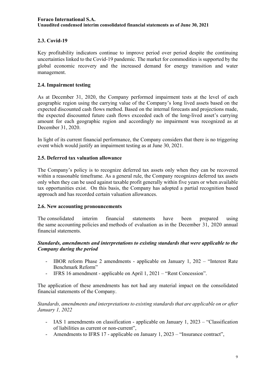## **2.3. Covid-19**

Key profitability indicators continue to improve period over period despite the continuing uncertainties linked to the Covid-19 pandemic. The market for commodities is supported by the global economic recovery and the increased demand for energy transition and water management.

#### **2.4. Impairment testing**

As at December 31, 2020, the Company performed impairment tests at the level of each geographic region using the carrying value of the Company's long lived assets based on the expected discounted cash flows method. Based on the internal forecasts and projections made, the expected discounted future cash flows exceeded each of the long-lived asset's carrying amount for each geographic region and accordingly no impairment was recognized as at December 31, 2020.

In light of its current financial performance, the Company considers that there is no triggering event which would justify an impairment testing as at June 30, 2021.

#### **2.5. Deferred tax valuation allowance**

The Company's policy is to recognize deferred tax assets only when they can be recovered within a reasonable timeframe. As a general rule, the Company recognizes deferred tax assets only when they can be used against taxable profit generally within five years or when available tax opportunities exist. On this basis, the Company has adopted a partial recognition based approach and has recorded certain valuation allowances.

#### **2.6. New accounting pronouncements**

The consolidated interim financial statements have been prepared using the same accounting policies and methods of evaluation as in the December 31, 2020 annual financial statements.

#### *Standards, amendments and interpretations to existing standards that were applicable to the Company during the period*

- IBOR reform Phase 2 amendments applicable on January 1, 202 "Interest Rate Benchmark Reform"
- IFRS 16 amendment applicable on April 1, 2021 "Rent Concession".

The application of these amendments has not had any material impact on the consolidated financial statements of the Company.

*Standards, amendments and interpretations to existing standards that are applicable on or after January 1, 2022* 

- IAS 1 amendments on classification applicable on January 1, 2023 "Classification of liabilities as current or non-current",
- Amendments to IFRS 17 applicable on January 1, 2023 "Insurance contract",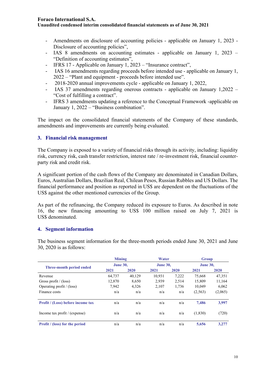#### **Foraco International S.A.**

#### **Unaudited condensed interim consolidated financial statements as of June 30, 2021**

- Amendments on disclosure of accounting policies applicable on January 1, 2023 Disclosure of accounting policies",
- IAS 8 amendments on accounting estimates applicable on January 1, 2023 "Definition of accounting estimates",
- IFRS 17 Applicable on January 1, 2023 "Insurance contract",
- IAS 16 amendments regarding proceeds before intended use applicable on January 1, 2022 – "Plant and equipment - proceeds before intended use".
- 2018-2020 annual improvements cycle applicable on January 1, 2022,
- IAS 37 amendments regarding onerous contracts applicable on January 1,2022 "Cost of fulfilling a contract".
- IFRS 3 amendments updating a reference to the Conceptual Framework -applicable on January 1, 2022 – "Business combination".

The impact on the consolidated financial statements of the Company of these standards, amendments and improvements are currently being evaluated.

#### **3. Financial risk management**

The Company is exposed to a variety of financial risks through its activity, including: liquidity risk, currency risk, cash transfer restriction, interest rate / re-investment risk, financial counterparty risk and credit risk.

A significant portion of the cash flows of the Company are denominated in Canadian Dollars, Euros, Australian Dollars, Brazilian Real, Chilean Pesos, Russian Rubbles and US Dollars. The financial performance and position as reported in US\$ are dependent on the fluctuations of the US\$ against the other mentioned currencies of the Group.

As part of the refinancing, the Company reduced its exposure to Euros. As described in note 16, the new financing amounting to US\$ 100 million raised on July 7, 2021 is US\$ denominated.

#### **4. Segment information**

|                                          | <b>Mining</b>   |        | Water           |       | Group           |         |
|------------------------------------------|-----------------|--------|-----------------|-------|-----------------|---------|
| Three-month period ended                 | <b>June 30,</b> |        | <b>June 30,</b> |       | <b>June 30,</b> |         |
|                                          | 2021            | 2020   | 2021            | 2020  | 2021            | 2020    |
| Revenue                                  | 64.737          | 40.129 | 10.931          | 7,222 | 75,668          | 47,351  |
| Gross profit / $(\text{loss})$           | 12,870          | 8,650  | 2,939           | 2,514 | 15,809          | 11,164  |
| Operating profit $/$ (loss)              | 7,942           | 4.326  | 2.107           | 1.736 | 10.049          | 6.062   |
| Finance costs                            | n/a             | n/a    | n/a             | n/a   | (2,563)         | (2,065) |
| <b>Profit / (Loss) before income tax</b> | n/a             | n/a    | n/a             | n/a   | 7.486           | 3,997   |
| Income tax profit $/$ (expense)          | n/a             | n/a    | n/a             | n/a   | (1,830)         | (720)   |
| <b>Profit</b> / (loss) for the period    | n/a             | n/a    | n/a             | n/a   | 5,656           | 3,277   |

The business segment information for the three-month periods ended June 30, 2021 and June 30, 2020 is as follows: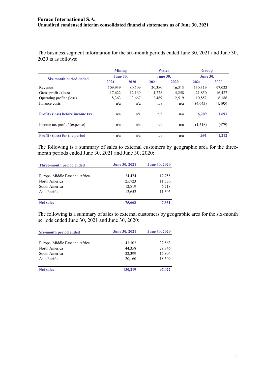The business segment information for the six-month periods ended June 30, 2021 and June 30, 2020 is as follows:

|                                          | <b>Mining</b>   |        | Water           |        | Group           |          |
|------------------------------------------|-----------------|--------|-----------------|--------|-----------------|----------|
| Six-month period ended                   | <b>June 30,</b> |        | <b>June 30.</b> |        | <b>June 30,</b> |          |
|                                          | 2021            | 2020   | 2021            | 2020   | 2021            | 2020     |
| Revenue                                  | 109.939         | 80,509 | 20,380          | 16,513 | 130,319         | 97,022   |
| Gross profit $/$ (loss)                  | 17,622          | 12,169 | 4,228           | 4,258  | 21,850          | 16,427   |
| Operating profit $/$ (loss)              | 8,363           | 3,667  | 2,489           | 2,519  | 10,852          | 6,186    |
| Finance costs                            | n/a             | n/a    | n/a             | n/a    | (4,643)         | (4, 495) |
| <b>Profit</b> / (loss) before income tax | n/a             | n/a    | n/a             | n/a    | 6,209           | 1,691    |
| Income tax profit / (expense)            | n/a             | n/a    | n/a             | n/a    | (1,518)         | (479)    |
| <b>Profit</b> / (loss) for the period    | n/a             | n/a    | n/a             | n/a    | 4.691           | 1.212    |

The following is a summary of sales to external customers by geographic area for the threemonth periods ended June 30, 2021 and June 30, 2020:

| Three-month period ended       | <b>June 30, 2021</b> | <b>June 30, 2020</b> |
|--------------------------------|----------------------|----------------------|
|                                |                      |                      |
| Europe, Middle East and Africa | 24,474               | 17,758               |
| North America                  | 25,723               | 11,570               |
| South America                  | 12,819               | 6,718                |
| Asia Pacific                   | 12.652               | 11,305               |
| <b>Net sales</b>               | 75,668               | 47,351               |

The following is a summary of sales to external customers by geographic area for the six-month periods ended June 30, 2021 and June 30, 2020:

| Six-month period ended         | <b>June 30, 2021</b> | <b>June 30, 2020</b> |
|--------------------------------|----------------------|----------------------|
|                                |                      |                      |
| Europe, Middle East and Africa | 43,302               | 32,863               |
| North America                  | 44,358               | 29,846               |
| South America                  | 22,399               | 15,804               |
| Asia Pacific                   | 20,160               | 18,509               |
|                                |                      |                      |
| <b>Net sales</b>               | 130,219              | 97,022               |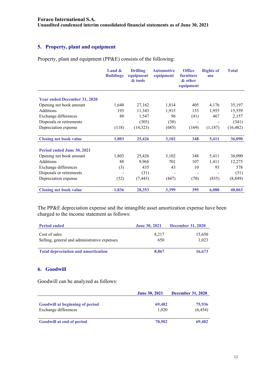## **5. Property, plant and equipment**

Property, plant and equipment (PP&E) consists of the following:

|                                     | Land $\&$<br><b>Buildings</b> | <b>Drilling</b><br>equipment<br>& tools | <b>Automotive</b><br>equipment | <b>Office</b><br>furniture<br>& other<br>equipment | <b>Rights of</b><br><b>use</b> | <b>Total</b> |
|-------------------------------------|-------------------------------|-----------------------------------------|--------------------------------|----------------------------------------------------|--------------------------------|--------------|
| <b>Year ended December 31, 2020</b> |                               |                                         |                                |                                                    |                                |              |
|                                     |                               |                                         |                                |                                                    |                                |              |
| Opening net book amount             | 1,640                         | 27,162                                  | 1,814                          | 405                                                | 4,176                          | 35,197       |
| Additions                           | 193                           | 11,343                                  | 1,915                          | 153                                                | 1,955                          | 15,559       |
| Exchange differences                | 88                            | 1,547                                   | 96                             | (41)                                               | 467                            | 2,157        |
| Disposals or retirements            |                               | (303)                                   | (38)                           |                                                    |                                | (341)        |
| Depreciation expense                | (118)                         | (14,323)                                | (685)                          | (169)                                              | (1,187)                        | (16, 482)    |
| <b>Closing net book value</b>       | 1,803                         | 25,426                                  | 3,102                          | 348                                                | 5,411                          | 36,090       |
| Period ended June 30, 2021          |                               |                                         |                                |                                                    |                                |              |
| Opening net book amount             | 1,803                         | 25,426                                  | 3,102                          | 348                                                | 5,411                          | 36,090       |
| Additions                           | 88                            | 9,968                                   | 701                            | 107                                                | 1,411                          | 12,275       |
| Exchange differences                | (3)                           | 435                                     | 43                             | 10                                                 | 93                             | 578          |
| Disposals or retirements            |                               | (31)                                    |                                |                                                    |                                | (31)         |
| Depreciation expense                | (52)                          | (7, 445)                                | (447)                          | (70)                                               | (835)                          | (8, 849)     |
| <b>Closing net book value</b>       | 1,836                         | 28,353                                  | 3,399                          | 395                                                | 6,080                          | 40,063       |

The PP&E depreciation expense and the intangible asset amortization expense have been charged to the income statement as follows:

| <b>Period ended</b>                                           | <b>June 30, 2021</b> | <b>December 31, 2020</b> |
|---------------------------------------------------------------|----------------------|--------------------------|
| Cost of sales<br>Selling, general and administrative expenses | 8.217<br>650         | 15,650<br>1.023          |
| <b>Total depreciation and amortization</b>                    | 8.867                | 16,673                   |

#### **6. Goodwill**

Goodwill can be analyzed as follows:

|                                        | <b>June 30, 2021</b> | <b>December 31, 2020</b> |
|----------------------------------------|----------------------|--------------------------|
|                                        |                      |                          |
| <b>Goodwill at beginning of period</b> | 69,482               | 75,936                   |
| Exchange differences                   | 1.020                | (6, 454)                 |
|                                        |                      |                          |
| <b>Goodwill at end of period</b>       | 70,502               | 69,482                   |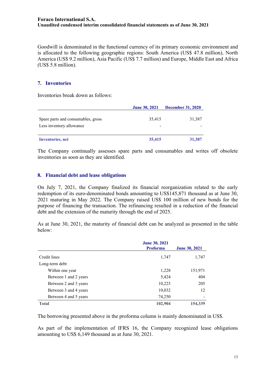Goodwill is denominated in the functional currency of its primary economic environment and is allocated to the following geographic regions: South America (US\$ 47.8 million), North America (US\$ 9.2 million), Asia Pacific (US\$ 7.7 million) and Europe, Middle East and Africa (US\$ 5.8 million).

#### **7. Inventories**

Inventories break down as follows:

|                                                                | <b>June 30, 2021</b> | <b>December 31, 2020</b> |
|----------------------------------------------------------------|----------------------|--------------------------|
| Spare parts and consumables, gross<br>Less inventory allowance | 35,415               | 31,387                   |
| <b>Inventories</b> , net                                       | 35,415               | 31,387                   |

The Company continually assesses spare parts and consumables and writes off obsolete inventories as soon as they are identified.

#### **8. Financial debt and lease obligations**

On July 7, 2021, the Company finalized its financial reorganization related to the early redemption of its euro-denominated bonds amounting to US\$145,871 thousand as at June 30, 2021 maturing in May 2022. The Company raised US\$ 100 million of new bonds for the purpose of financing the transaction. The refinancing resulted in a reduction of the financial debt and the extension of the maturity through the end of 2025.

As at June 30, 2021, the maturity of financial debt can be analyzed as presented in the table below:

|                       | <b>June 30, 2021</b><br><b>Proforma</b> | <b>June 30, 2021</b> |
|-----------------------|-----------------------------------------|----------------------|
| Credit lines          | 1,747                                   | 1,747                |
| Long-term debt        |                                         |                      |
| Within one year       | 1,228                                   | 151,971              |
| Between 1 and 2 years | 5,424                                   | 404                  |
| Between 2 and 3 years | 10,223                                  | 205                  |
| Between 3 and 4 years | 10,032                                  | 12                   |
| Between 4 and 5 years | 74,250                                  |                      |
| <b>Total</b>          | 102,904                                 | 154,339              |

The borrowing presented above in the proforma column is mainly denominated in US\$.

As part of the implementation of IFRS 16, the Company recognized lease obligations amounting to US\$ 6,149 thousand as at June 30, 2021.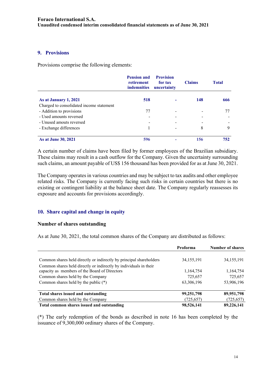#### **9. Provisions**

Provisions comprise the following elements:

|                                          | <b>Pension and</b><br>retirement<br><i>indemnities</i> | <b>Provision</b><br>for tax<br>uncertainty | <b>Claims</b> | <b>Total</b> |
|------------------------------------------|--------------------------------------------------------|--------------------------------------------|---------------|--------------|
| As at January 1, 2021                    | 518                                                    |                                            | 148           | 666          |
| Charged to consolidated income statement |                                                        |                                            |               |              |
| - Addition to provisions                 | 77                                                     |                                            |               |              |
| - Used amounts reversed                  |                                                        |                                            |               |              |
| - Unused amouts reversed                 |                                                        |                                            |               |              |
| - Exchange differences                   |                                                        |                                            | 8             | 9            |
| <b>As at June 30, 2021</b>               | 596                                                    |                                            | 156           | 752          |

A certain number of claims have been filed by former employees of the Brazilian subsidiary. These claims may result in a cash outflow for the Company. Given the uncertainty surrounding such claims, an amount payable of US\$ 156 thousand has been provided for as at June 30, 2021.

The Company operates in various countries and may be subject to tax audits and other employee related risks. The Company is currently facing such risks in certain countries but there is no existing or contingent liability at the balance sheet date. The Company regularly reassesses its exposure and accounts for provisions accordingly.

## **10. Share capital and change in equity**

#### **Number of shares outstanding**

As at June 30, 2021, the total common shares of the Company are distributed as follows:

|                                                                     | Proforma     | <b>Number of shares</b> |
|---------------------------------------------------------------------|--------------|-------------------------|
|                                                                     |              |                         |
| Common shares held directly or indirectly by principal shareholders | 34, 155, 191 | 34, 155, 191            |
| Common shares held directly or indirectly by individuals in their   |              |                         |
| capacity as members of the Board of Directors                       | 1,164,754    | 1,164,754               |
| Common shares held by the Company                                   | 725,657      | 725,657                 |
| Common shares held by the public $(*)$                              | 63,306,196   | 53,906,196              |
| Total shares issued and outstanding                                 | 99,251,798   | 89,951,798              |
| Common shares held by the Company                                   | (725, 657)   | (725, 657)              |
| Total common shares issued and outstanding                          | 98,526,141   | 89,226,141              |

(\*) The early redemption of the bonds as described in note 16 has been completed by the issuance of 9,300,000 ordinary shares of the Company.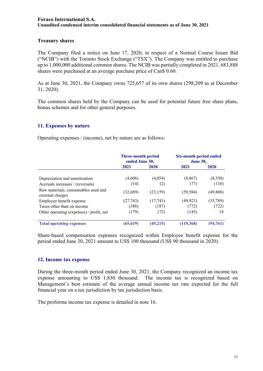#### **Treasury shares**

The Company filed a notice on June 17, 2020, in respect of a Normal Course Issuer Bid ("NCIB") with the Toronto Stock Exchange ("TSX"). The Company was entitled to purchase up to 1,000,000 additional common shares. The NCIB was partially completed in 2021, 683,888 shares were purchased at an average purchase price of Can\$ 0.60.

As at June 30, 2021, the Company owns 725,657 of its own shares (298,209 as at December 31, 2020).

The common shares held by the Company can be used for potential future free share plans, bonus schemes and for other general purposes.

## **11. Expenses by nature**

Operating expenses / (income), net by nature are as follows:

|                                                         | <b>Three-month period</b><br>ended June 30, |           | <b>Six-month period ended</b><br><b>June 30,</b> |           |
|---------------------------------------------------------|---------------------------------------------|-----------|--------------------------------------------------|-----------|
|                                                         | 2021                                        | 2020      | 2021                                             | 2020      |
| Depreciation and amortization                           | (4,606)                                     | (4,054)   | (8, 867)                                         | (8,350)   |
| Accruals increases / (reversals)                        | (14)                                        | (2)       | (77)                                             | (110)     |
| Raw materials, consumables used and<br>external charges | (32,689)                                    | (23, 159) | (59, 584)                                        | (49, 808) |
| Employee benefit expense                                | (27, 743)                                   | (17,741)  | (49,923)                                         | (35,789)  |
| Taxes other than on income                              | (388)                                       | (187)     | (772)                                            | (722)     |
| Other operating (expenses) / profit, net                | (179)                                       | (72)      | (145)                                            | 18        |
| <b>Total operating expenses</b>                         | (65, 619)                                   | (45,215)  | (119, 368)                                       | (94, 761) |

Share-based compensation expenses recognized within Employee benefit expense for the period ended June 30, 2021 amount to US\$ 100 thousand (US\$ 90 thousand in 2020).

#### **12. Income tax expense**

During the three-month period ended June 30, 2021, the Company recognized an income tax expense amounting to US\$ 1,830 thousand. The income tax is recognized based on Management's best estimate of the average annual income tax rate expected for the full financial year on a tax jurisdiction by tax jurisdiction basis.

The proforma income tax expense is detailed in note 16.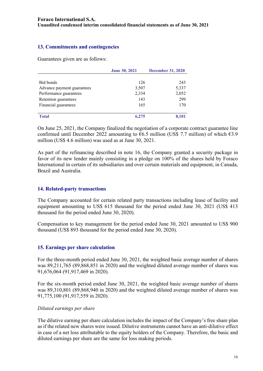### **13. Commitments and contingencies**

Guarantees given are as follows:

|                            | <b>June 30, 2021</b> | <b>December 31, 2020</b> |
|----------------------------|----------------------|--------------------------|
|                            |                      |                          |
| Bid bonds                  | 126                  | 243                      |
| Advance payment guarantees | 3,507                | 5,337                    |
| Performance guarantees     | 2,334                | 2,052                    |
| Retention guarantees       | 143                  | 299                      |
| Financial guarantees       | 165                  | 170                      |
|                            |                      |                          |
| <b>Total</b>               | 6,275                | 8,101                    |

On June 25, 2021, the Company finalized the negotiation of a corporate contract guarantee line confirmed until December 2022 amounting to  $6.5$  million (US\$ 7.7 million) of which  $63.9$ million (US\$ 4.6 million) was used as at June 30, 2021.

As part of the refinancing described in note 16, the Company granted a security package in favor of its new lender mainly consisting in a pledge on 100% of the shares held by Foraco International in certain of its subsidiaries and over certain materials and equipment, in Canada, Brazil and Australia.

#### **14. Related-party transactions**

The Company accounted for certain related party transactions including lease of facility and equipment amounting to US\$ 615 thousand for the period ended June 30, 2021 (US\$ 413 thousand for the period ended June 30, 2020).

Compensation to key management for the period ended June 30, 2021 amounted to US\$ 900 thousand (US\$ 893 thousand for the period ended June 30, 2020).

#### **15. Earnings per share calculation**

For the three-month period ended June 30, 2021, the weighted basic average number of shares was 89,211,765 (89,868,851 in 2020) and the weighted diluted average number of shares was 91,676,064 (91,917,469 in 2020).

For the six-month period ended June 30, 2021, the weighted basic average number of shares was 89,310,801 (89,868,940 in 2020) and the weighted diluted average number of shares was 91,775,100 (91,917,559 in 2020).

#### *Diluted earnings per share*

The dilutive earning per share calculation includes the impact of the Company's free share plan as if the related new shares were issued. Dilutive instruments cannot have an anti-dilutive effect in case of a net loss attributable to the equity holders of the Company. Therefore, the basic and diluted earnings per share are the same for loss making periods.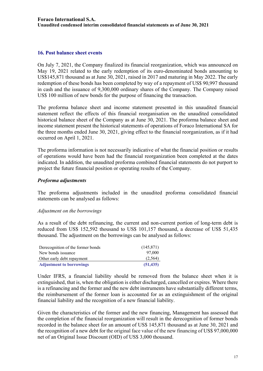#### **16. Post balance sheet events**

On July 7, 2021, the Company finalized its financial reorganization, which was announced on May 19, 2021 related to the early redemption of its euro-denominated bonds amounting to US\$145,871 thousand as at June 30, 2021, raised in 2017 and maturing in May 2022. The early redemption of these bonds has been completed by way of a repayment of US\$ 90,997 thousand in cash and the issuance of 9,300,000 ordinary shares of the Company. The Company raised US\$ 100 million of new bonds for the purpose of financing the transaction.

The proforma balance sheet and income statement presented in this unaudited financial statement reflect the effects of this financial reorganisation on the unaudited consolidated historical balance sheet of the Company as at June 30, 2021. The proforma balance sheet and income statement present the historical statements of operations of Foraco International SA for the three months ended June 30, 2021, giving effect to the financial reorganization, as if it had occurred on April 1, 2021.

The proforma information is not necessarily indicative of what the financial position or results of operations would have been had the financial reorganization been completed at the dates indicated. In addition, the unaudited proforma combined financial statements do not purport to project the future financial position or operating results of the Company.

#### *Proforma adjustments*

The proforma adjustments included in the unaudited proforma consolidated financial statements can be analysed as follows:

#### *Adjustment on the borrowings*

As a result of the debt refinancing, the current and non-current portion of long-term debt is reduced from US\$ 152,592 thousand to US\$ 101,157 thousand, a decrease of US\$ 51,435 thousand. The adjustment on the borrowings can be analysed as follows:

| Derecognition of the former bonds | (145, 871) |
|-----------------------------------|------------|
| New bonds issuance                | 97,000     |
| Other early debt repayment        | (2,564)    |
| <b>Adjustment to borrowings</b>   | (51, 435)  |

Under IFRS, a financial liability should be removed from the balance sheet when it is extinguished, that is, when the obligation is either discharged, cancelled or expires. Where there is a refinancing and the former and the new debt instruments have substantially different terms, the reimbursement of the former loan is accounted for as an extinguishment of the original financial liability and the recognition of a new financial liability.

Given the characteristics of the former and the new financing, Management has assessed that the completion of the financial reorganization will result in the derecognition of former bonds recorded in the balance sheet for an amount of US\$ 145,871 thousand as at June 30, 2021 and the recognition of a new debt for the original face value of the new financing of US\$ 97,000,000 net of an Original Issue Discount (OID) of US\$ 3,000 thousand.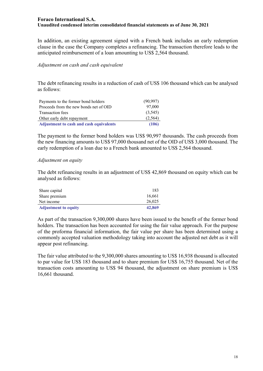In addition, an existing agreement signed with a French bank includes an early redemption clause in the case the Company completes a refinancing. The transaction therefore leads to the anticipated reimbursement of a loan amounting to US\$ 2,564 thousand.

#### *Adjustment on cash and cash equivalent*

The debt refinancing results in a reduction of cash of US\$ 106 thousand which can be analysed as follows:

| Payments to the former bond holders            | (90, 997) |
|------------------------------------------------|-----------|
| Proceeds from the new bonds net of OID         | 97,000    |
| Transaction fees                               | (3,545)   |
| Other early debt repayment                     | (2, 564)  |
| <b>Adjustment to cash and cash equivalents</b> | (106)     |

The payment to the former bond holders was US\$ 90,997 thousands. The cash proceeds from the new financing amounts to US\$ 97,000 thousand net of the OID of US\$ 3,000 thousand. The early redemption of a loan due to a French bank amounted to US\$ 2,564 thousand.

#### *Adjustment on equity*

The debt refinancing results in an adjustment of US\$ 42,869 thousand on equity which can be analysed as follows:

| Share capital               | 183    |
|-----------------------------|--------|
| Share premium               | 16.661 |
| Net income                  | 26,025 |
| <b>Adjustment to equity</b> | 42,869 |

As part of the transaction 9,300,000 shares have been issued to the benefit of the former bond holders. The transaction has been accounted for using the fair value approach. For the purpose of the proforma financial information, the fair value per share has been determined using a commonly accepted valuation methodology taking into account the adjusted net debt as it will appear post refinancing.

The fair value attributed to the 9,300,000 shares amounting to US\$ 16,938 thousand is allocated to par value for US\$ 183 thousand and to share premium for US\$ 16,755 thousand. Net of the transaction costs amounting to US\$ 94 thousand, the adjustment on share premium is US\$ 16,661 thousand.